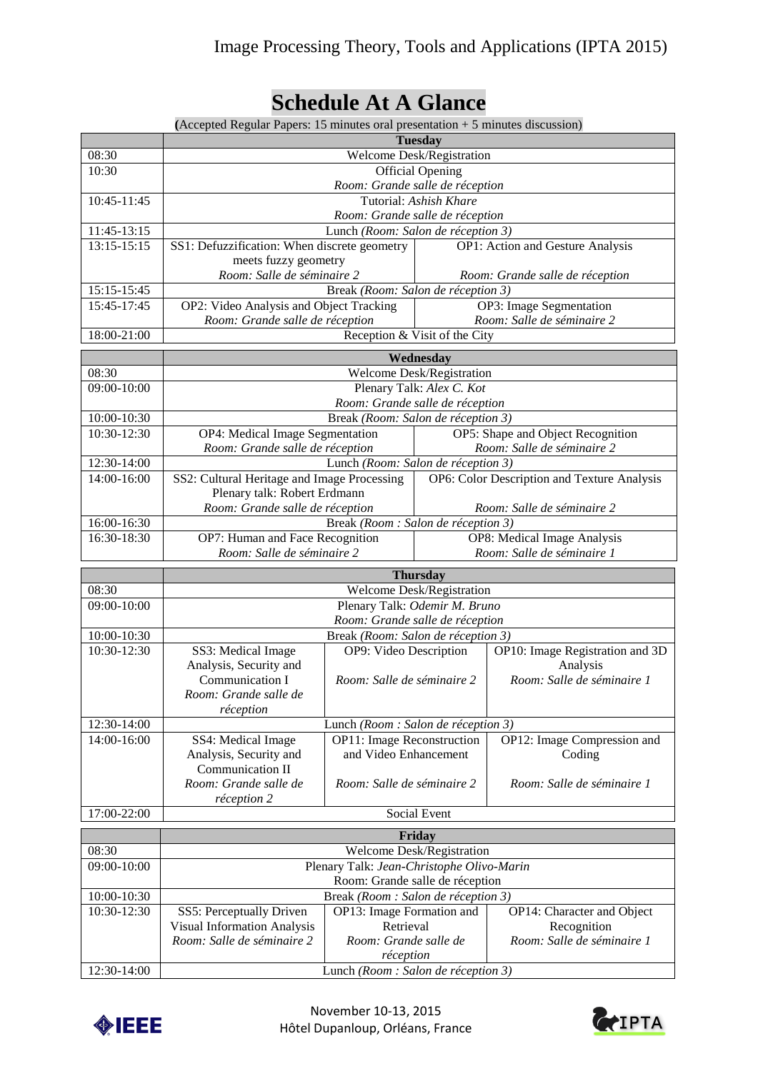# **Schedule At A Glance**

|                 | (Accepted Regular Papers: 15 minutes oral presentation $+5$ minutes discussion)                     |                                                           |                                             |                                           |  |
|-----------------|-----------------------------------------------------------------------------------------------------|-----------------------------------------------------------|---------------------------------------------|-------------------------------------------|--|
|                 | <b>Tuesday</b>                                                                                      |                                                           |                                             |                                           |  |
| 08:30           | Welcome Desk/Registration                                                                           |                                                           |                                             |                                           |  |
| 10:30           | <b>Official Opening</b>                                                                             |                                                           |                                             |                                           |  |
|                 | Room: Grande salle de réception                                                                     |                                                           |                                             |                                           |  |
| 10:45-11:45     | Tutorial: Ashish Khare                                                                              |                                                           |                                             |                                           |  |
|                 | Room: Grande salle de réception                                                                     |                                                           |                                             |                                           |  |
| 11:45-13:15     | Lunch (Room: Salon de réception 3)                                                                  |                                                           |                                             |                                           |  |
| 13:15-15:15     |                                                                                                     | SS1: Defuzzification: When discrete geometry              |                                             | OP1: Action and Gesture Analysis          |  |
|                 | meets fuzzy geometry                                                                                |                                                           |                                             |                                           |  |
| 15:15-15:45     | Room: Salle de séminaire 2<br>Room: Grande salle de réception<br>Break (Room: Salon de réception 3) |                                                           |                                             |                                           |  |
| 15:45-17:45     | OP2: Video Analysis and Object Tracking                                                             |                                                           |                                             | OP3: Image Segmentation                   |  |
|                 | Room: Grande salle de réception                                                                     |                                                           |                                             | Room: Salle de séminaire 2                |  |
| 18:00-21:00     | Reception & Visit of the City                                                                       |                                                           |                                             |                                           |  |
|                 |                                                                                                     |                                                           |                                             |                                           |  |
| 08:30           | Wednesday<br>Welcome Desk/Registration                                                              |                                                           |                                             |                                           |  |
| 09:00-10:00     | Plenary Talk: Alex C. Kot                                                                           |                                                           |                                             |                                           |  |
|                 | Room: Grande salle de réception                                                                     |                                                           |                                             |                                           |  |
| 10:00-10:30     | Break (Room: Salon de réception 3)                                                                  |                                                           |                                             |                                           |  |
| $10:30 - 12:30$ | OP4: Medical Image Segmentation                                                                     |                                                           | OP5: Shape and Object Recognition           |                                           |  |
|                 | Room: Grande salle de réception                                                                     |                                                           | Room: Salle de séminaire 2                  |                                           |  |
| 12:30-14:00     | Lunch (Room: Salon de réception 3)                                                                  |                                                           |                                             |                                           |  |
| 14:00-16:00     | SS2: Cultural Heritage and Image Processing                                                         |                                                           | OP6: Color Description and Texture Analysis |                                           |  |
|                 | Plenary talk: Robert Erdmann                                                                        |                                                           |                                             |                                           |  |
| 16:00-16:30     | Room: Grande salle de réception<br>Break (Room : Salon de réception 3)                              |                                                           |                                             | Room: Salle de séminaire 2                |  |
| 16:30-18:30     | OP7: Human and Face Recognition                                                                     |                                                           | OP8: Medical Image Analysis                 |                                           |  |
|                 | Room: Salle de séminaire 2                                                                          |                                                           | Room: Salle de séminaire 1                  |                                           |  |
|                 |                                                                                                     |                                                           |                                             |                                           |  |
| 08:30           | <b>Thursday</b><br>Welcome Desk/Registration                                                        |                                                           |                                             |                                           |  |
| 09:00-10:00     | Plenary Talk: Odemir M. Bruno                                                                       |                                                           |                                             |                                           |  |
|                 | Room: Grande salle de réception                                                                     |                                                           |                                             |                                           |  |
| 10:00-10:30     | Break (Room: Salon de réception 3)                                                                  |                                                           |                                             |                                           |  |
| 10:30-12:30     | SS3: Medical Image                                                                                  | OP9: Video Description<br>OP10: Image Registration and 3D |                                             |                                           |  |
|                 | Analysis, Security and                                                                              | Analysis                                                  |                                             |                                           |  |
|                 | Communication I                                                                                     | Room: Salle de séminaire 2                                |                                             | Room: Salle de séminaire 1                |  |
|                 | Room: Grande salle de                                                                               |                                                           |                                             |                                           |  |
| 12:30-14:00     | réception                                                                                           | Lunch (Room : Salon de réception 3)                       |                                             |                                           |  |
| 14:00-16:00     | SS4: Medical Image                                                                                  | OP11: Image Reconstruction                                |                                             | OP12: Image Compression and               |  |
|                 | Analysis, Security and                                                                              | and Video Enhancement                                     |                                             | Coding                                    |  |
|                 | Communication II                                                                                    |                                                           |                                             |                                           |  |
|                 | Room: Grande salle de                                                                               | Room: Salle de séminaire 2                                |                                             | Room: Salle de séminaire 1                |  |
|                 | réception 2                                                                                         |                                                           |                                             |                                           |  |
| 17:00-22:00     | Social Event                                                                                        |                                                           |                                             |                                           |  |
|                 | Friday                                                                                              |                                                           |                                             |                                           |  |
| 08:30           | Welcome Desk/Registration                                                                           |                                                           |                                             |                                           |  |
| 09:00-10:00     | Plenary Talk: Jean-Christophe Olivo-Marin                                                           |                                                           |                                             |                                           |  |
|                 | Room: Grande salle de réception                                                                     |                                                           |                                             |                                           |  |
| 10:00-10:30     | Break (Room : Salon de réception 3)                                                                 |                                                           |                                             |                                           |  |
| 10:30-12:30     | SS5: Perceptually Driven                                                                            | OP13: Image Formation and<br>Retrieval                    |                                             | OP14: Character and Object                |  |
|                 | <b>Visual Information Analysis</b><br>Room: Salle de séminaire 2                                    | Room: Grande salle de                                     |                                             | Recognition<br>Room: Salle de séminaire 1 |  |
|                 |                                                                                                     | réception                                                 |                                             |                                           |  |
| 12:30-14:00     |                                                                                                     | Lunch (Room : Salon de réception 3)                       |                                             |                                           |  |



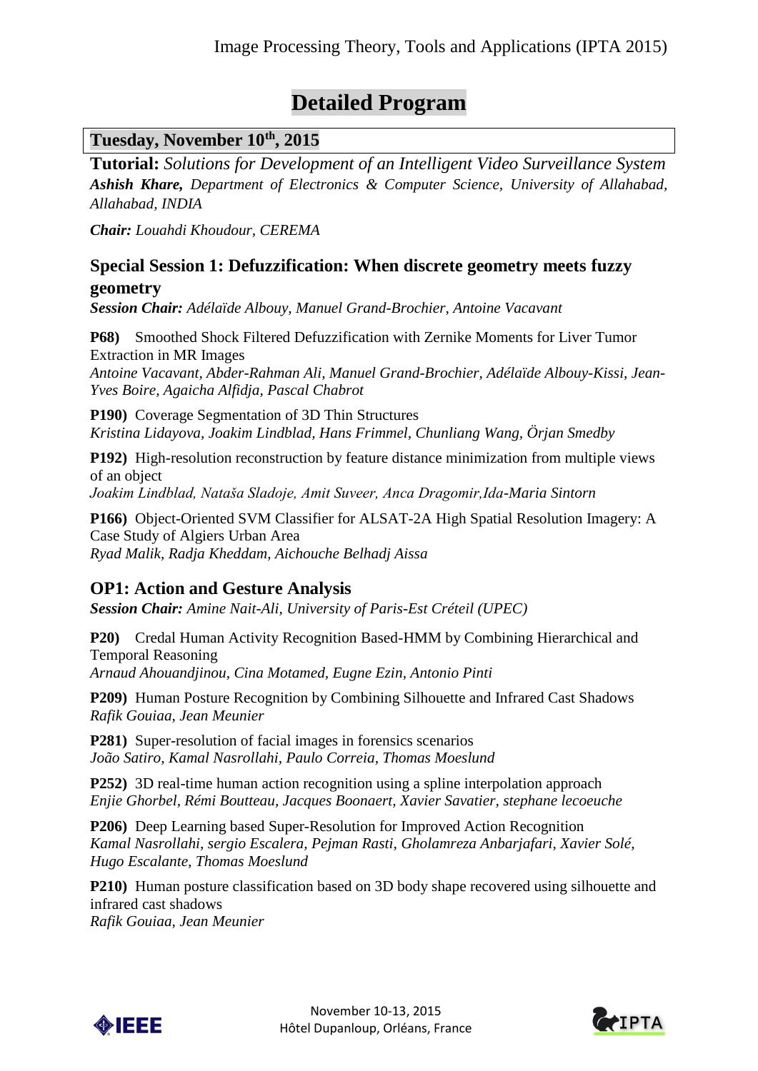# **Detailed Program**

## **Tuesday, November 10th, 2015**

**Tutorial:** *Solutions for Development of an Intelligent Video Surveillance System Ashish Khare, Department of Electronics & Computer Science, University of Allahabad, Allahabad, INDIA*

*Chair: Louahdi Khoudour, CEREMA*

#### **Special Session 1: Defuzzification: When discrete geometry meets fuzzy geometry**

*Session Chair: Adélaïde Albouy, Manuel Grand-Brochier, Antoine Vacavant*

**P68)** Smoothed Shock Filtered Defuzzification with Zernike Moments for Liver Tumor Extraction in MR Images *Antoine Vacavant, Abder-Rahman Ali, Manuel Grand-Brochier, Adélaïde Albouy-Kissi, Jean-Yves Boire, Agaicha Alfidja, Pascal Chabrot*

**P190)** Coverage Segmentation of 3D Thin Structures *Kristina Lidayova, Joakim Lindblad, Hans Frimmel, Chunliang Wang, Örjan Smedby*

**P192)** High-resolution reconstruction by feature distance minimization from multiple views of an object

*Joakim Lindblad, Nataša Sladoje, Amit Suveer, Anca Dragomir,Ida-Maria Sintorn*

**P166)** Object-Oriented SVM Classifier for ALSAT-2A High Spatial Resolution Imagery: A Case Study of Algiers Urban Area *Ryad Malik, Radja Kheddam, Aichouche Belhadj Aissa*

## **OP1: Action and Gesture Analysis**

*Session Chair: Amine Nait-Ali, University of Paris-Est Créteil (UPEC)*

**P20)** Credal Human Activity Recognition Based-HMM by Combining Hierarchical and Temporal Reasoning *Arnaud Ahouandjinou, Cina Motamed, Eugne Ezin, Antonio Pinti*

**P209)** Human Posture Recognition by Combining Silhouette and Infrared Cast Shadows *Rafik Gouiaa, Jean Meunier*

**P281)** Super-resolution of facial images in forensics scenarios *João Satiro, Kamal Nasrollahi, Paulo Correia, Thomas Moeslund*

**P252)** 3D real-time human action recognition using a spline interpolation approach *Enjie Ghorbel, Rémi Boutteau, Jacques Boonaert, Xavier Savatier, stephane lecoeuche*

**P206)** Deep Learning based Super-Resolution for Improved Action Recognition *Kamal Nasrollahi, sergio Escalera, Pejman Rasti, Gholamreza Anbarjafari, Xavier Solé, Hugo Escalante, Thomas Moeslund*

**P210)** Human posture classification based on 3D body shape recovered using silhouette and infrared cast shadows

*Rafik Gouiaa, Jean Meunier*



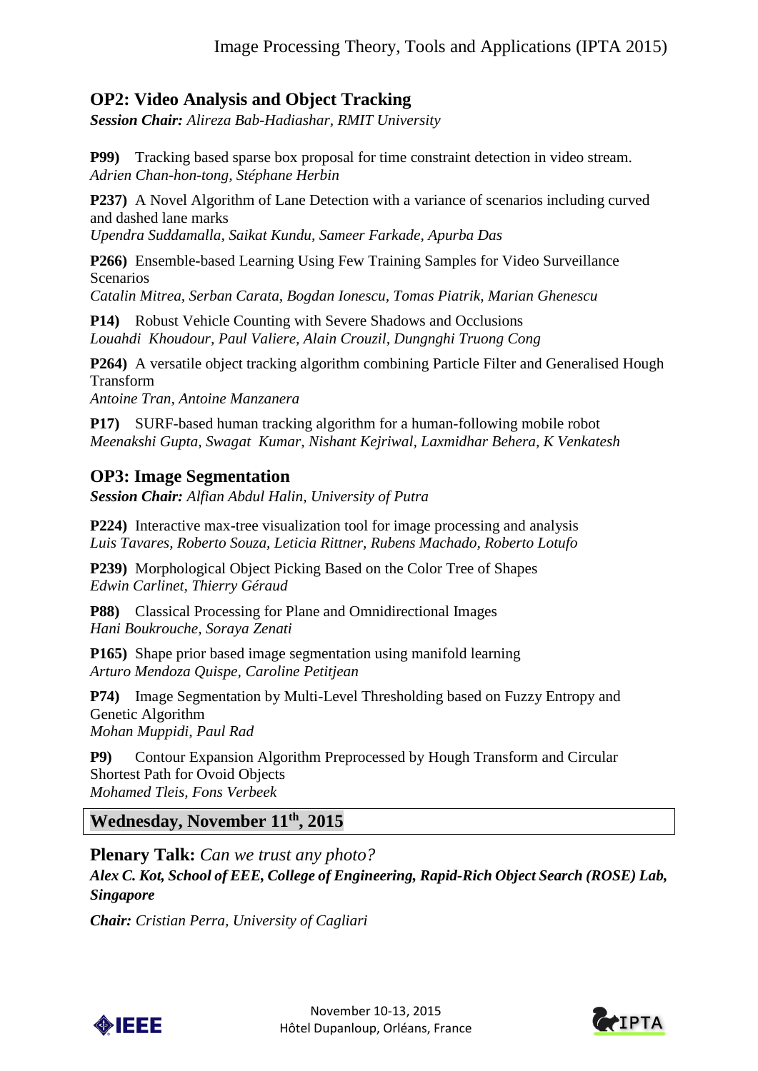## **OP2: Video Analysis and Object Tracking**

*Session Chair: Alireza Bab-Hadiashar, RMIT University*

**P99)** Tracking based sparse box proposal for time constraint detection in video stream. *Adrien Chan-hon-tong, Stéphane Herbin*

**P237)** A Novel Algorithm of Lane Detection with a variance of scenarios including curved and dashed lane marks

*Upendra Suddamalla, Saikat Kundu, Sameer Farkade, Apurba Das*

**P266)** Ensemble-based Learning Using Few Training Samples for Video Surveillance Scenarios

*Catalin Mitrea, Serban Carata, Bogdan Ionescu, Tomas Piatrik, Marian Ghenescu*

**P14)** Robust Vehicle Counting with Severe Shadows and Occlusions *Louahdi Khoudour, Paul Valiere, Alain Crouzil, Dungnghi Truong Cong*

**P264)** A versatile object tracking algorithm combining Particle Filter and Generalised Hough Transform *Antoine Tran, Antoine Manzanera*

**P17)** SURF-based human tracking algorithm for a human-following mobile robot *Meenakshi Gupta, Swagat Kumar, Nishant Kejriwal, Laxmidhar Behera, K Venkatesh*

## **OP3: Image Segmentation**

*Session Chair: Alfian Abdul Halin, University of Putra* 

**P224)** Interactive max-tree visualization tool for image processing and analysis *Luis Tavares, Roberto Souza, Leticia Rittner, Rubens Machado, Roberto Lotufo*

**P239)** Morphological Object Picking Based on the Color Tree of Shapes *Edwin Carlinet, Thierry Géraud*

**P88)** Classical Processing for Plane and Omnidirectional Images *Hani Boukrouche, Soraya Zenati* 

**P165)** Shape prior based image segmentation using manifold learning *Arturo Mendoza Quispe, Caroline Petitjean*

**P74)** Image Segmentation by Multi-Level Thresholding based on Fuzzy Entropy and Genetic Algorithm *Mohan Muppidi, Paul Rad*

**P9)** Contour Expansion Algorithm Preprocessed by Hough Transform and Circular Shortest Path for Ovoid Objects *Mohamed Tleis, Fons Verbeek*

**Wednesday, November 11th, 2015**

**Plenary Talk:** *Can we trust any photo?*

*Alex C. Kot, School of EEE, College of Engineering, Rapid-Rich Object Search (ROSE) Lab, Singapore*

*Chair: Cristian Perra, University of Cagliari*



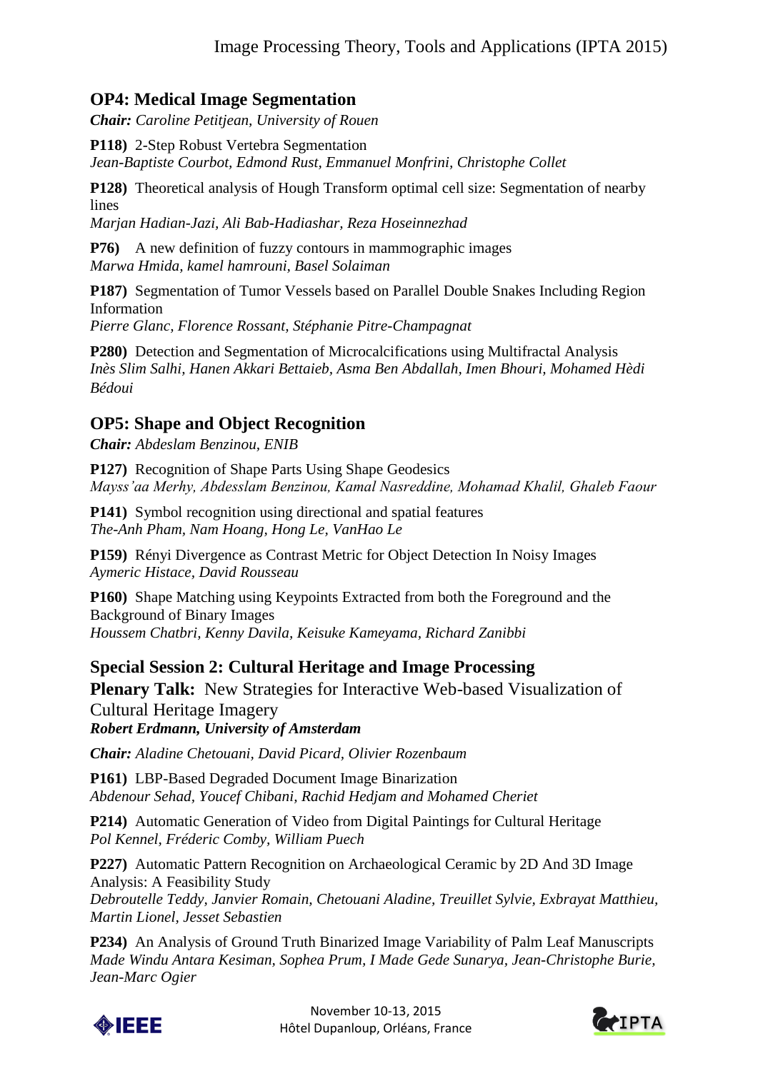## **OP4: Medical Image Segmentation**

*Chair: Caroline Petitjean, University of Rouen*

**P118)** 2-Step Robust Vertebra Segmentation

*Jean-Baptiste Courbot, Edmond Rust, Emmanuel Monfrini, Christophe Collet*

**P128)** Theoretical analysis of Hough Transform optimal cell size: Segmentation of nearby lines

*Marjan Hadian-Jazi, Ali Bab-Hadiashar, Reza Hoseinnezhad*

**P76**) A new definition of fuzzy contours in mammographic images *Marwa Hmida, kamel hamrouni, Basel Solaiman*

**P187)** Segmentation of Tumor Vessels based on Parallel Double Snakes Including Region Information

*Pierre Glanc, Florence Rossant, Stéphanie Pitre-Champagnat*

**P280)** Detection and Segmentation of Microcalcifications using Multifractal Analysis *Inès Slim Salhi, Hanen Akkari Bettaieb, Asma Ben Abdallah, Imen Bhouri, Mohamed Hèdi Bédoui*

#### **OP5: Shape and Object Recognition**

*Chair: Abdeslam Benzinou, ENIB*

**P127)** Recognition of Shape Parts Using Shape Geodesics *Mayss'aa Merhy, Abdesslam Benzinou, Kamal Nasreddine, Mohamad Khalil, Ghaleb Faour*

**P141)** Symbol recognition using directional and spatial features *The-Anh Pham, Nam Hoang, Hong Le, VanHao Le*

**P159)** Rényi Divergence as Contrast Metric for Object Detection In Noisy Images *Aymeric Histace, David Rousseau*

**P160)** Shape Matching using Keypoints Extracted from both the Foreground and the Background of Binary Images *Houssem Chatbri, Kenny Davila, Keisuke Kameyama, Richard Zanibbi*

#### **Special Session 2: Cultural Heritage and Image Processing**

**Plenary Talk:** New Strategies for Interactive Web-based Visualization of Cultural Heritage Imagery

*Robert Erdmann, University of Amsterdam*

*Chair: Aladine Chetouani, David Picard, Olivier Rozenbaum*

**P161)** LBP-Based Degraded Document Image Binarization *Abdenour Sehad, Youcef Chibani, Rachid Hedjam and Mohamed Cheriet*

**P214)** Automatic Generation of Video from Digital Paintings for Cultural Heritage *Pol Kennel, Fréderic Comby, William Puech*

**P227)** Automatic Pattern Recognition on Archaeological Ceramic by 2D And 3D Image Analysis: A Feasibility Study

*Debroutelle Teddy, Janvier Romain, Chetouani Aladine, Treuillet Sylvie, Exbrayat Matthieu, Martin Lionel, Jesset Sebastien*

**P234)** An Analysis of Ground Truth Binarized Image Variability of Palm Leaf Manuscripts *Made Windu Antara Kesiman, Sophea Prum, I Made Gede Sunarya, Jean-Christophe Burie, Jean-Marc Ogier*



November 10-13, 2015 Hôtel Dupanloup, Orléans, France

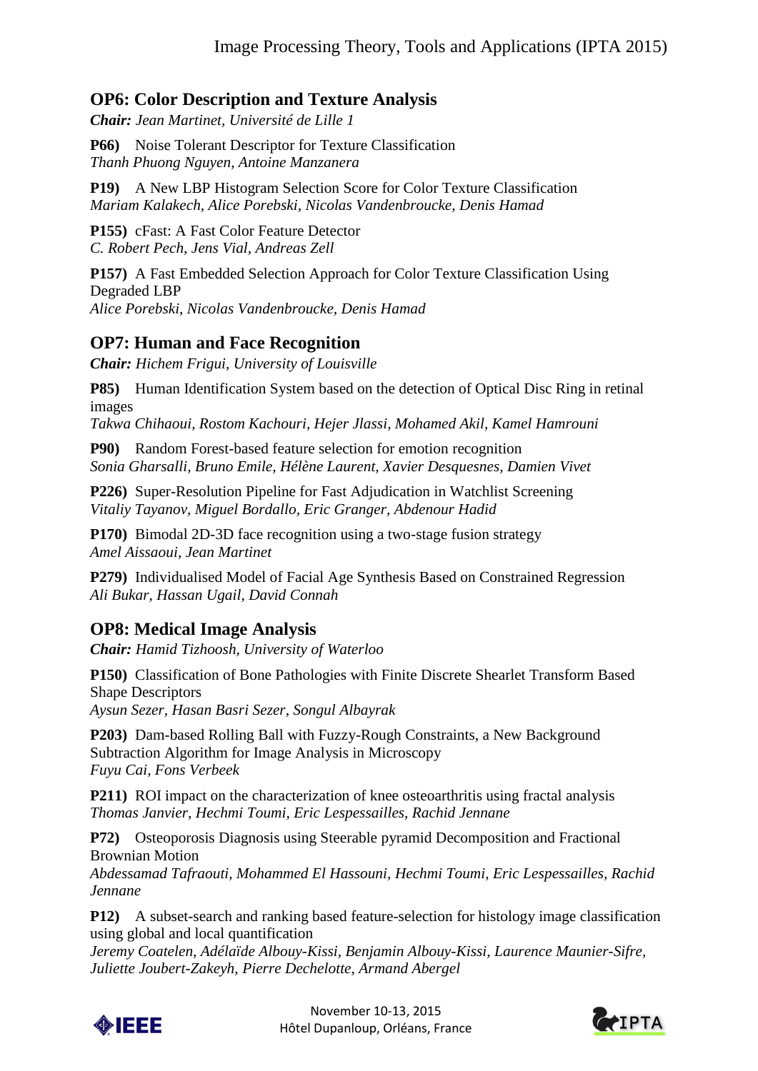## **OP6: Color Description and Texture Analysis**

*Chair: Jean Martinet, Université de Lille 1*

**P66)** Noise Tolerant Descriptor for Texture Classification *Thanh Phuong Nguyen, Antoine Manzanera*

**P19)** A New LBP Histogram Selection Score for Color Texture Classification *Mariam Kalakech, Alice Porebski, Nicolas Vandenbroucke, Denis Hamad*

**P155)** cFast: A Fast Color Feature Detector *C. Robert Pech, Jens Vial, Andreas Zell*

**P157)** A Fast Embedded Selection Approach for Color Texture Classification Using Degraded LBP *Alice Porebski, Nicolas Vandenbroucke, Denis Hamad*

## **OP7: Human and Face Recognition**

*Chair: Hichem Frigui, University of Louisville*

**P85)** Human Identification System based on the detection of Optical Disc Ring in retinal images

*Takwa Chihaoui, Rostom Kachouri, Hejer Jlassi, Mohamed Akil, Kamel Hamrouni*

**P90)** Random Forest-based feature selection for emotion recognition *Sonia Gharsalli, Bruno Emile, Hélène Laurent, Xavier Desquesnes, Damien Vivet*

**P226)** Super-Resolution Pipeline for Fast Adjudication in Watchlist Screening *Vitaliy Tayanov, Miguel Bordallo, Eric Granger, Abdenour Hadid*

**P170)** Bimodal 2D-3D face recognition using a two-stage fusion strategy *Amel Aissaoui, Jean Martinet*

**P279)** Individualised Model of Facial Age Synthesis Based on Constrained Regression *Ali Bukar, Hassan Ugail, David Connah*

## **OP8: Medical Image Analysis**

*Chair: Hamid Tizhoosh, University of Waterloo*

**P150)** Classification of Bone Pathologies with Finite Discrete Shearlet Transform Based Shape Descriptors *Aysun Sezer, Hasan Basri Sezer, Songul Albayrak*

**P203)** Dam-based Rolling Ball with Fuzzy-Rough Constraints, a New Background Subtraction Algorithm for Image Analysis in Microscopy *Fuyu Cai, Fons Verbeek*

**P211)** ROI impact on the characterization of knee osteoarthritis using fractal analysis *Thomas Janvier, Hechmi Toumi, Eric Lespessailles, Rachid Jennane*

**P72)** Osteoporosis Diagnosis using Steerable pyramid Decomposition and Fractional Brownian Motion

*Abdessamad Tafraouti, Mohammed El Hassouni, Hechmi Toumi, Eric Lespessailles, Rachid Jennane*

**P12)** A subset-search and ranking based feature-selection for histology image classification using global and local quantification

*Jeremy Coatelen, Adélaïde Albouy-Kissi, Benjamin Albouy-Kissi, Laurence Maunier-Sifre, Juliette Joubert-Zakeyh, Pierre Dechelotte, Armand Abergel*



November 10-13, 2015 Hôtel Dupanloup, Orléans, France

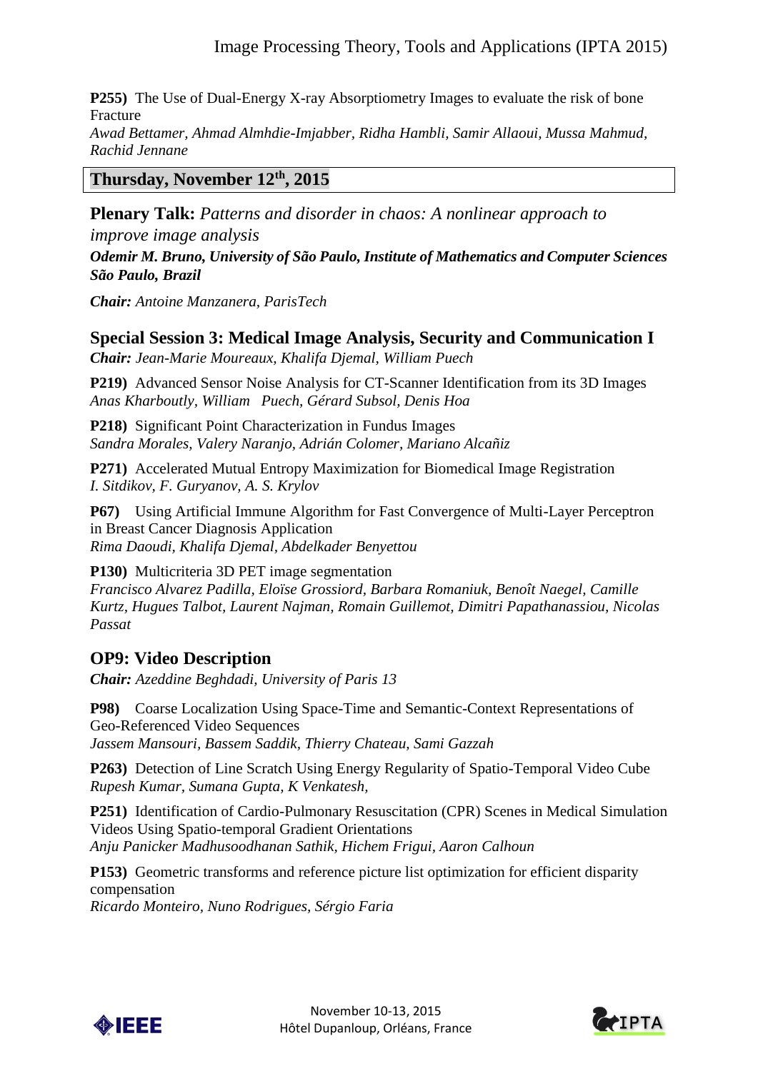**P255)** The Use of Dual-Energy X-ray Absorptiometry Images to evaluate the risk of bone Fracture

*Awad Bettamer, Ahmad Almhdie-Imjabber, Ridha Hambli, Samir Allaoui, Mussa Mahmud, Rachid Jennane*

#### **Thursday, November 12th, 2015**

**Plenary Talk:** *Patterns and disorder in chaos: A nonlinear approach to* 

*improve image analysis Odemir M. Bruno, University of São Paulo, Institute of Mathematics and Computer Sciences São Paulo, Brazil*

*Chair: Antoine Manzanera, ParisTech*

## **Special Session 3: Medical Image Analysis, Security and Communication I**

*Chair: Jean-Marie Moureaux, Khalifa Djemal, William Puech*

**P219)** Advanced Sensor Noise Analysis for CT-Scanner Identification from its 3D Images *Anas Kharboutly, William Puech, Gérard Subsol, Denis Hoa*

**P218)** Significant Point Characterization in Fundus Images *Sandra Morales, Valery Naranjo, Adrián Colomer, Mariano Alcañiz*

**P271)** Accelerated Mutual Entropy Maximization for Biomedical Image Registration *I. Sitdikov, F. Guryanov, A. S. Krylov*

**P67)** Using Artificial Immune Algorithm for Fast Convergence of Multi-Layer Perceptron in Breast Cancer Diagnosis Application *Rima Daoudi, Khalifa Djemal, Abdelkader Benyettou*

**P130)** Multicriteria 3D PET image segmentation *Francisco Alvarez Padilla, Eloïse Grossiord, Barbara Romaniuk, Benoît Naegel, Camille Kurtz, Hugues Talbot, Laurent Najman, Romain Guillemot, Dimitri Papathanassiou, Nicolas Passat*

## **OP9: Video Description**

*Chair: Azeddine Beghdadi, University of Paris 13* 

**P98)** Coarse Localization Using Space-Time and Semantic-Context Representations of Geo-Referenced Video Sequences *Jassem Mansouri, Bassem Saddik, Thierry Chateau, Sami Gazzah*

**P263)** Detection of Line Scratch Using Energy Regularity of Spatio-Temporal Video Cube *Rupesh Kumar, Sumana Gupta, K Venkatesh,*

**P251)** Identification of Cardio-Pulmonary Resuscitation (CPR) Scenes in Medical Simulation Videos Using Spatio-temporal Gradient Orientations *Anju Panicker Madhusoodhanan Sathik, Hichem Frigui, Aaron Calhoun*

**P153)** Geometric transforms and reference picture list optimization for efficient disparity compensation *Ricardo Monteiro, Nuno Rodrigues, Sérgio Faria*



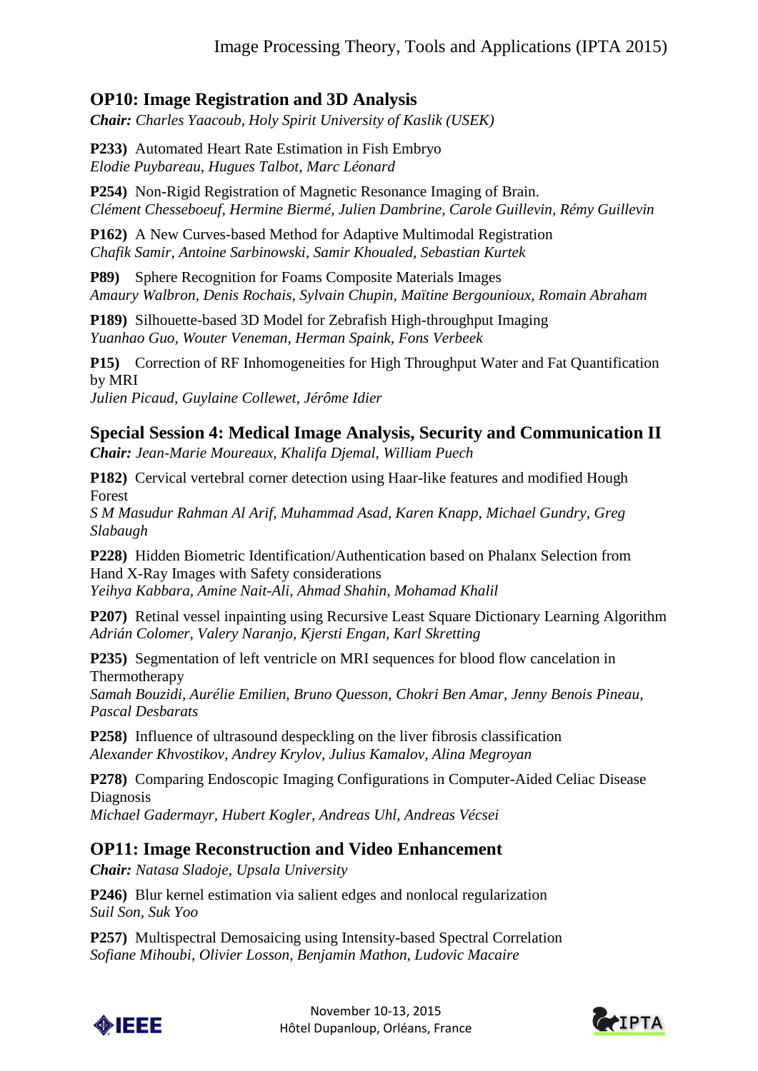## **OP10: Image Registration and 3D Analysis**

*Chair: Charles Yaacoub, Holy Spirit University of Kaslik (USEK)*

**P233)** Automated Heart Rate Estimation in Fish Embryo *Elodie Puybareau, Hugues Talbot, Marc Léonard*

**P254)** Non-Rigid Registration of Magnetic Resonance Imaging of Brain. *Clément Chesseboeuf, Hermine Biermé, Julien Dambrine, Carole Guillevin, Rémy Guillevin*

**P162)** A New Curves-based Method for Adaptive Multimodal Registration *Chafik Samir, Antoine Sarbinowski, Samir Khoualed, Sebastian Kurtek*

**P89)** Sphere Recognition for Foams Composite Materials Images *Amaury Walbron, Denis Rochais, Sylvain Chupin, Maïtine Bergounioux, Romain Abraham*

**P189)** Silhouette-based 3D Model for Zebrafish High-throughput Imaging *Yuanhao Guo, Wouter Veneman, Herman Spaink, Fons Verbeek*

**P15)** Correction of RF Inhomogeneities for High Throughput Water and Fat Quantification by MRI *Julien Picaud, Guylaine Collewet, Jérôme Idier*

## **Special Session 4: Medical Image Analysis, Security and Communication II**

*Chair: Jean-Marie Moureaux, Khalifa Djemal, William Puech*

**P182)** Cervical vertebral corner detection using Haar-like features and modified Hough Forest

*S M Masudur Rahman Al Arif, Muhammad Asad, Karen Knapp, Michael Gundry, Greg Slabaugh*

**P228)** Hidden Biometric Identification/Authentication based on Phalanx Selection from Hand X-Ray Images with Safety considerations *Yeihya Kabbara, Amine Nait-Ali, Ahmad Shahin, Mohamad Khalil*

**P207)** Retinal vessel inpainting using Recursive Least Square Dictionary Learning Algorithm *Adrián Colomer, Valery Naranjo, Kjersti Engan, Karl Skretting*

**P235)** Segmentation of left ventricle on MRI sequences for blood flow cancelation in Thermotherapy

*Samah Bouzidi, Aurélie Emilien, Bruno Quesson, Chokri Ben Amar, Jenny Benois Pineau, Pascal Desbarats*

**P258)** Influence of ultrasound despeckling on the liver fibrosis classification *Alexander Khvostikov, Andrey Krylov, Julius Kamalov, Alina Megroyan*

**P278)** Comparing Endoscopic Imaging Configurations in Computer-Aided Celiac Disease Diagnosis

*Michael Gadermayr, Hubert Kogler, Andreas Uhl, Andreas Vécsei*

## **OP11: Image Reconstruction and Video Enhancement**

*Chair: Natasa Sladoje, Upsala University*

**P246)** Blur kernel estimation via salient edges and nonlocal regularization *Suil Son, Suk Yoo*

**P257)** Multispectral Demosaicing using Intensity-based Spectral Correlation *Sofiane Mihoubi, Olivier Losson, Benjamin Mathon, Ludovic Macaire*



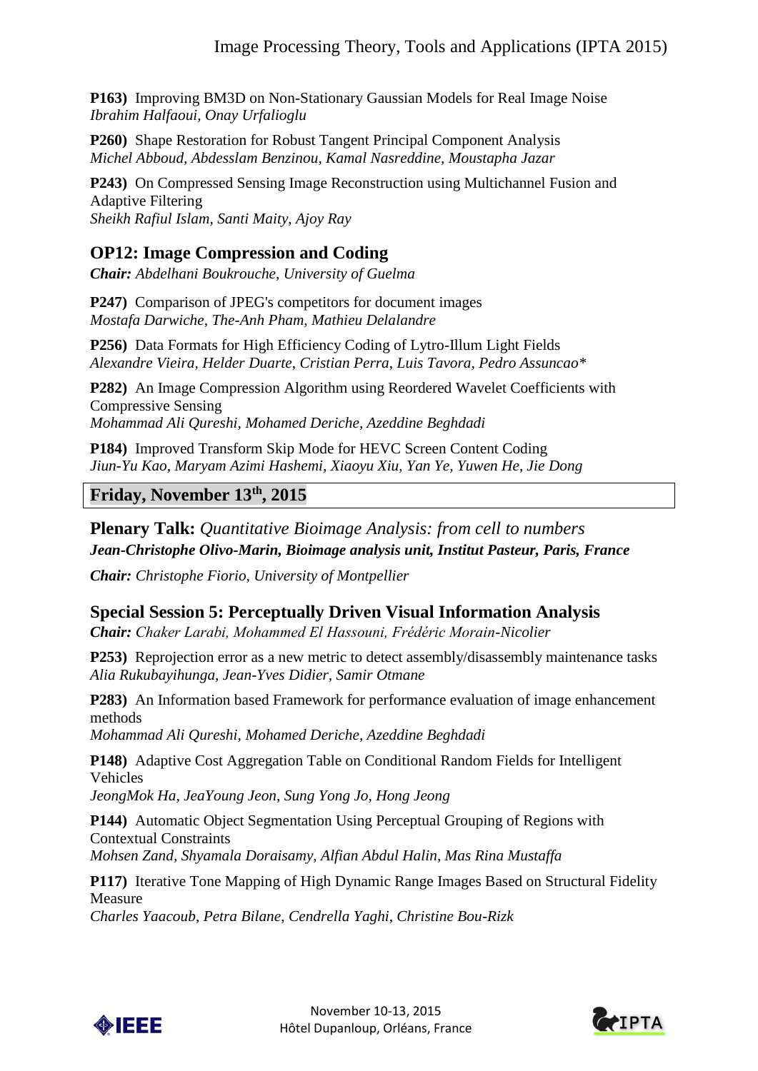**P163)** Improving BM3D on Non-Stationary Gaussian Models for Real Image Noise *Ibrahim Halfaoui, Onay Urfalioglu*

**P260)** Shape Restoration for Robust Tangent Principal Component Analysis *Michel Abboud, Abdesslam Benzinou, Kamal Nasreddine, Moustapha Jazar*

**P243)** On Compressed Sensing Image Reconstruction using Multichannel Fusion and Adaptive Filtering *Sheikh Rafiul Islam, Santi Maity, Ajoy Ray*

#### **OP12: Image Compression and Coding**

*Chair: Abdelhani Boukrouche, University of Guelma*

**P247)** Comparison of JPEG's competitors for document images *Mostafa Darwiche, The-Anh Pham, Mathieu Delalandre*

**P256)** Data Formats for High Efficiency Coding of Lytro-Illum Light Fields *Alexandre Vieira, Helder Duarte, Cristian Perra, Luis Tavora, Pedro Assuncao\** 

**P282)** An Image Compression Algorithm using Reordered Wavelet Coefficients with Compressive Sensing *Mohammad Ali Qureshi, Mohamed Deriche, Azeddine Beghdadi*

**P184)** Improved Transform Skip Mode for HEVC Screen Content Coding *Jiun-Yu Kao, Maryam Azimi Hashemi, Xiaoyu Xiu, Yan Ye, Yuwen He, Jie Dong*

#### **Friday, November 13th, 2015**

**Plenary Talk:** *Quantitative Bioimage Analysis: from cell to numbers Jean-Christophe Olivo-Marin, Bioimage analysis unit, Institut Pasteur, Paris, France*

*Chair: Christophe Fiorio, University of Montpellier*

## **Special Session 5: Perceptually Driven Visual Information Analysis**

*Chair: Chaker Larabi, Mohammed El Hassouni, Frédéric Morain-Nicolier*

**P253)** Reprojection error as a new metric to detect assembly/disassembly maintenance tasks *Alia Rukubayihunga, Jean-Yves Didier, Samir Otmane*

**P283)** An Information based Framework for performance evaluation of image enhancement methods

*Mohammad Ali Qureshi, Mohamed Deriche, Azeddine Beghdadi*

**P148)** Adaptive Cost Aggregation Table on Conditional Random Fields for Intelligent Vehicles

*JeongMok Ha, JeaYoung Jeon, Sung Yong Jo, Hong Jeong*

**P144)** Automatic Object Segmentation Using Perceptual Grouping of Regions with Contextual Constraints

*Mohsen Zand, Shyamala Doraisamy, Alfian Abdul Halin, Mas Rina Mustaffa*

**P117)** Iterative Tone Mapping of High Dynamic Range Images Based on Structural Fidelity Measure

*Charles Yaacoub, Petra Bilane, Cendrella Yaghi, Christine Bou-Rizk*